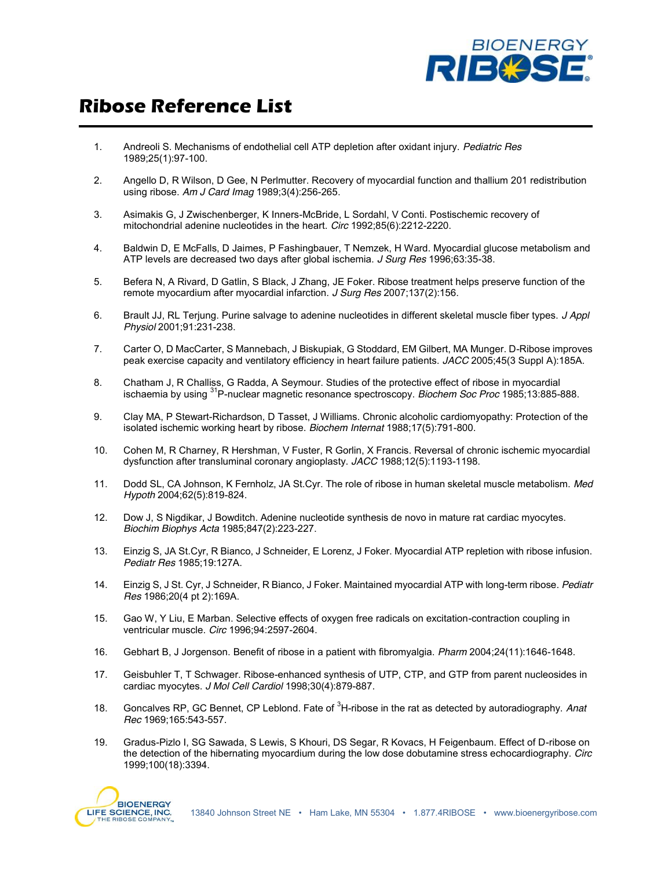

## **Ribose Reference List**

- 1. Andreoli S. Mechanisms of endothelial cell ATP depletion after oxidant injury. *Pediatric Res* 1989;25(1):97-100.
- 2. Angello D, R Wilson, D Gee, N Perlmutter. Recovery of myocardial function and thallium 201 redistribution using ribose. *Am J Card Imag* 1989;3(4):256-265.
- 3. Asimakis G, J Zwischenberger, K Inners-McBride, L Sordahl, V Conti. Postischemic recovery of mitochondrial adenine nucleotides in the heart. *Circ* 1992;85(6):2212-2220.
- 4. Baldwin D, E McFalls, D Jaimes, P Fashingbauer, T Nemzek, H Ward. Myocardial glucose metabolism and ATP levels are decreased two days after global ischemia. *J Surg Res* 1996;63:35-38.
- 5. Befera N, A Rivard, D Gatlin, S Black, J Zhang, JE Foker. Ribose treatment helps preserve function of the remote myocardium after myocardial infarction. *J Surg Res* 2007;137(2):156.
- 6. Brault JJ, RL Terjung. Purine salvage to adenine nucleotides in different skeletal muscle fiber types. *J Appl Physiol* 2001;91:231-238.
- 7. Carter O, D MacCarter, S Mannebach, J Biskupiak, G Stoddard, EM Gilbert, MA Munger. D-Ribose improves peak exercise capacity and ventilatory efficiency in heart failure patients. *JACC* 2005;45(3 Suppl A):185A.
- 8. Chatham J, R Challiss, G Radda, A Seymour. Studies of the protective effect of ribose in myocardial ischaemia by using 31P-nuclear magnetic resonance spectroscopy. *Biochem Soc Proc* 1985;13:885-888.
- 9. Clay MA, P Stewart-Richardson, D Tasset, J Williams. Chronic alcoholic cardiomyopathy: Protection of the isolated ischemic working heart by ribose. *Biochem Internat* 1988;17(5):791-800.
- 10. Cohen M, R Charney, R Hershman, V Fuster, R Gorlin, X Francis. Reversal of chronic ischemic myocardial dysfunction after transluminal coronary angioplasty. *JACC* 1988;12(5):1193-1198.
- 11. Dodd SL, CA Johnson, K Fernholz, JA St.Cyr. The role of ribose in human skeletal muscle metabolism. *Med Hypoth* 2004;62(5):819-824.
- 12. Dow J, S Nigdikar, J Bowditch. Adenine nucleotide synthesis de novo in mature rat cardiac myocytes. *Biochim Biophys Acta* 1985;847(2):223-227.
- 13. Einzig S, JA St.Cyr, R Bianco, J Schneider, E Lorenz, J Foker. Myocardial ATP repletion with ribose infusion. *Pediatr Res* 1985;19:127A.
- 14. Einzig S, J St. Cyr, J Schneider, R Bianco, J Foker. Maintained myocardial ATP with long-term ribose. *Pediatr Res* 1986;20(4 pt 2):169A.
- 15. Gao W, Y Liu, E Marban. Selective effects of oxygen free radicals on excitation-contraction coupling in ventricular muscle. *Circ* 1996;94:2597-2604.
- 16. Gebhart B, J Jorgenson. Benefit of ribose in a patient with fibromyalgia. *Pharm* 2004;24(11):1646-1648.
- 17. Geisbuhler T, T Schwager. Ribose-enhanced synthesis of UTP, CTP, and GTP from parent nucleosides in cardiac myocytes. *J Mol Cell Cardiol* 1998;30(4):879-887.
- 18. Goncalves RP, GC Bennet, CP Leblond. Fate of <sup>3</sup> H-ribose in the rat as detected by autoradiography. *Anat Rec* 1969;165:543-557.
- 19. Gradus-Pizlo I, SG Sawada, S Lewis, S Khouri, DS Segar, R Kovacs, H Feigenbaum. Effect of D-ribose on the detection of the hibernating myocardium during the low dose dobutamine stress echocardiography. *Circ* 1999;100(18):3394.

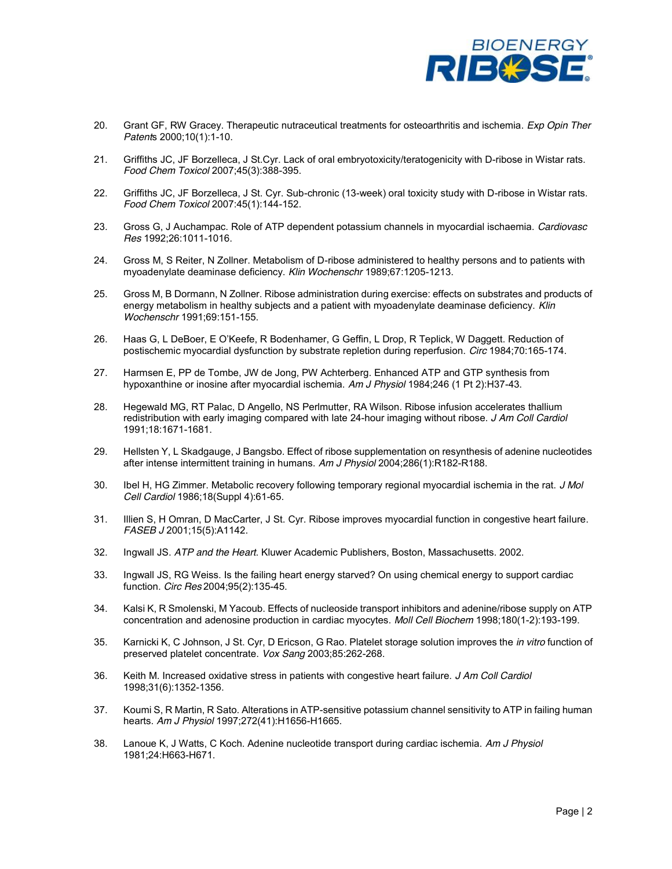

- 20. Grant GF, RW Gracey. Therapeutic nutraceutical treatments for osteoarthritis and ischemia. *Exp Opin Ther Patent*s 2000;10(1):1-10.
- 21. Griffiths JC, JF Borzelleca, J St.Cyr. Lack of oral embryotoxicity/teratogenicity with D-ribose in Wistar rats. *Food Chem Toxicol* 2007;45(3):388-395.
- 22. Griffiths JC, JF Borzelleca, J St. Cyr. Sub-chronic (13-week) oral toxicity study with D-ribose in Wistar rats. *Food Chem Toxicol* 2007:45(1):144-152.
- 23. Gross G, J Auchampac. Role of ATP dependent potassium channels in myocardial ischaemia. *Cardiovasc Res* 1992;26:1011-1016.
- 24. Gross M, S Reiter, N Zollner. Metabolism of D-ribose administered to healthy persons and to patients with myoadenylate deaminase deficiency. *Klin Wochenschr* 1989;67:1205-1213.
- 25. Gross M, B Dormann, N Zollner. Ribose administration during exercise: effects on substrates and products of energy metabolism in healthy subjects and a patient with myoadenylate deaminase deficiency. *Klin Wochenschr* 1991;69:151-155.
- 26. Haas G, L DeBoer, E O'Keefe, R Bodenhamer, G Geffin, L Drop, R Teplick, W Daggett. Reduction of postischemic myocardial dysfunction by substrate repletion during reperfusion. *Circ* 1984;70:165-174.
- 27. Harmsen E, PP de Tombe, JW de Jong, PW Achterberg. Enhanced ATP and GTP synthesis from hypoxanthine or inosine after myocardial ischemia. *Am J Physiol* 1984;246 (1 Pt 2):H37-43.
- 28. Hegewald MG, RT Palac, D Angello, NS Perlmutter, RA Wilson. Ribose infusion accelerates thallium redistribution with early imaging compared with late 24-hour imaging without ribose. *J Am Coll Cardiol* 1991;18:1671-1681.
- 29. Hellsten Y, L Skadgauge, J Bangsbo. Effect of ribose supplementation on resynthesis of adenine nucleotides after intense intermittent training in humans. *Am J Physiol* 2004;286(1):R182-R188.
- 30. Ibel H, HG Zimmer. Metabolic recovery following temporary regional myocardial ischemia in the rat. *J Mol Cell Cardiol* 1986;18(Suppl 4):61-65.
- 31. Illien S, H Omran, D MacCarter, J St. Cyr. Ribose improves myocardial function in congestive heart failure. *FASEB J* 2001;15(5):A1142.
- 32. Ingwall JS. *ATP and the Heart*. Kluwer Academic Publishers, Boston, Massachusetts. 2002.
- 33. Ingwall JS, RG Weiss. Is the failing heart energy starved? On using chemical energy to support cardiac function. *Circ Res* 2004;95(2):135-45.
- 34. Kalsi K, R Smolenski, M Yacoub. Effects of nucleoside transport inhibitors and adenine/ribose supply on ATP concentration and adenosine production in cardiac myocytes. *Moll Cell Biochem* 1998;180(1-2):193-199.
- 35. Karnicki K, C Johnson, J St. Cyr, D Ericson, G Rao. Platelet storage solution improves the *in vitro* function of preserved platelet concentrate. *Vox Sang* 2003;85:262-268.
- 36. Keith M. Increased oxidative stress in patients with congestive heart failure. *J Am Coll Cardiol*  1998;31(6):1352-1356.
- 37. Koumi S, R Martin, R Sato. Alterations in ATP-sensitive potassium channel sensitivity to ATP in failing human hearts. *Am J Physiol* 1997;272(41):H1656-H1665.
- 38. Lanoue K, J Watts, C Koch. Adenine nucleotide transport during cardiac ischemia. *Am J Physiol*  1981;24:H663-H671.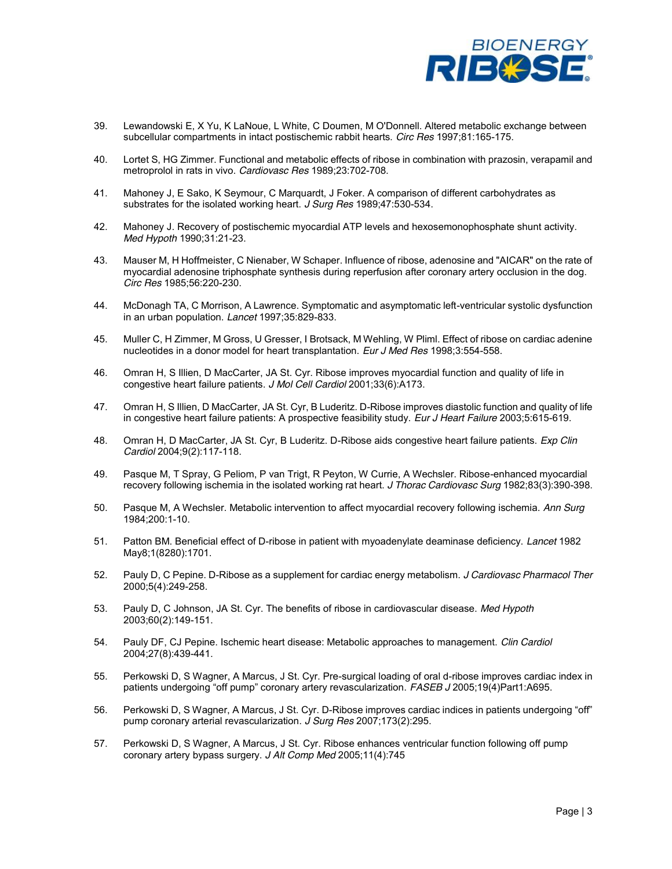

- 39. Lewandowski E, X Yu, K LaNoue, L White, C Doumen, M O'Donnell. Altered metabolic exchange between subcellular compartments in intact postischemic rabbit hearts. *Circ Res* 1997;81:165-175.
- 40. Lortet S, HG Zimmer. Functional and metabolic effects of ribose in combination with prazosin, verapamil and metroprolol in rats in vivo. *Cardiovasc Res* 1989;23:702-708.
- 41. Mahoney J, E Sako, K Seymour, C Marquardt, J Foker. A comparison of different carbohydrates as substrates for the isolated working heart. *J Surg Res* 1989;47:530-534.
- 42. Mahoney J. Recovery of postischemic myocardial ATP levels and hexosemonophosphate shunt activity. *Med Hypoth* 1990;31:21-23.
- 43. Mauser M, H Hoffmeister, C Nienaber, W Schaper. Influence of ribose, adenosine and "AICAR" on the rate of myocardial adenosine triphosphate synthesis during reperfusion after coronary artery occlusion in the dog. *Circ Res* 1985;56:220-230.
- 44. McDonagh TA, C Morrison, A Lawrence. Symptomatic and asymptomatic left-ventricular systolic dysfunction in an urban population. *Lancet* 1997;35:829-833.
- 45. Muller C, H Zimmer, M Gross, U Gresser, I Brotsack, M Wehling, W Pliml. Effect of ribose on cardiac adenine nucleotides in a donor model for heart transplantation. *Eur J Med Res* 1998;3:554-558.
- 46. Omran H, S Illien, D MacCarter, JA St. Cyr. Ribose improves myocardial function and quality of life in congestive heart failure patients. *J Mol Cell Cardiol* 2001;33(6):A173.
- 47. Omran H, S Illien, D MacCarter, JA St. Cyr, B Luderitz. D-Ribose improves diastolic function and quality of life in congestive heart failure patients: A prospective feasibility study. *Eur J Heart Failure* 2003;5:615-619.
- 48. Omran H, D MacCarter, JA St. Cyr, B Luderitz. D-Ribose aids congestive heart failure patients. *Exp Clin Cardiol* 2004;9(2):117-118.
- 49. Pasque M, T Spray, G Peliom, P van Trigt, R Peyton, W Currie, A Wechsler. Ribose-enhanced myocardial recovery following ischemia in the isolated working rat heart. *J Thorac Cardiovasc Surg* 1982;83(3):390-398.
- 50. Pasque M, A Wechsler. Metabolic intervention to affect myocardial recovery following ischemia. *Ann Surg*  1984;200:1-10.
- 51. Patton BM. Beneficial effect of D-ribose in patient with myoadenylate deaminase deficiency. *Lancet* 1982 May8;1(8280):1701.
- 52. Pauly D, C Pepine. D-Ribose as a supplement for cardiac energy metabolism. *J Cardiovasc Pharmacol Ther*  2000;5(4):249-258.
- 53. Pauly D, C Johnson, JA St. Cyr. The benefits of ribose in cardiovascular disease. *Med Hypoth* 2003;60(2):149-151.
- 54. Pauly DF, CJ Pepine. Ischemic heart disease: Metabolic approaches to management. *Clin Cardiol* 2004;27(8):439-441.
- 55. Perkowski D, S Wagner, A Marcus, J St. Cyr. Pre-surgical loading of oral d-ribose improves cardiac index in patients undergoing "off pump" coronary artery revascularization. FASEB J 2005;19(4)Part1:A695.
- 56. Perkowski D, S Wagner, A Marcus, J St. Cyr. D-Ribose improves cardiac indices in patients undergoing "off" pump coronary arterial revascularization. *J Surg Res* 2007;173(2):295.
- 57. Perkowski D, S Wagner, A Marcus, J St. Cyr. Ribose enhances ventricular function following off pump coronary artery bypass surgery. *J Alt Comp Med* 2005;11(4):745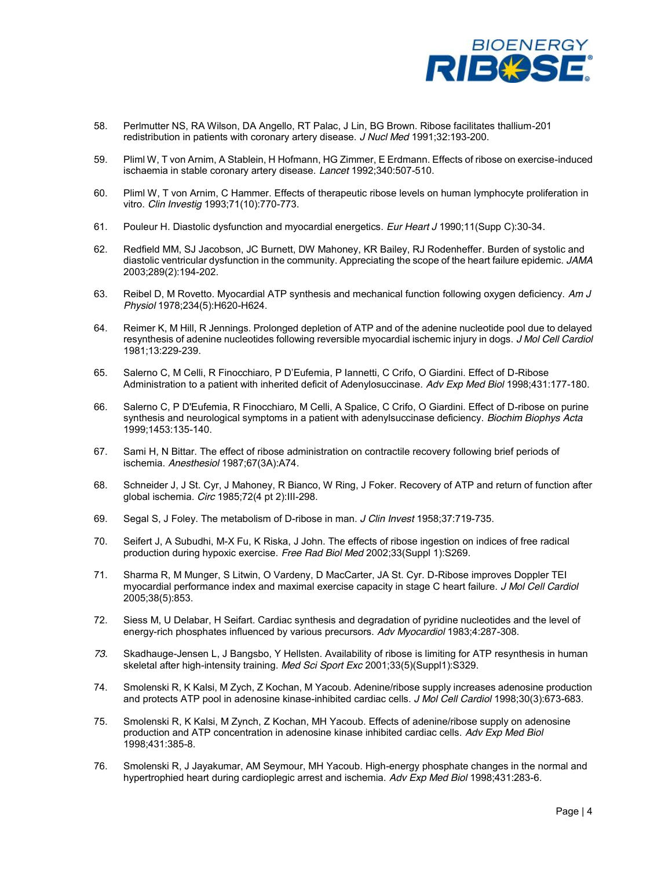

- 58. Perlmutter NS, RA Wilson, DA Angello, RT Palac, J Lin, BG Brown. Ribose facilitates thallium-201 redistribution in patients with coronary artery disease. *J Nucl Med* 1991;32:193-200.
- 59. Pliml W, T von Arnim, A Stablein, H Hofmann, HG Zimmer, E Erdmann. Effects of ribose on exercise-induced ischaemia in stable coronary artery disease. *Lancet* 1992;340:507-510.
- 60. Pliml W, T von Arnim, C Hammer. Effects of therapeutic ribose levels on human lymphocyte proliferation in vitro. *Clin Investig* 1993;71(10):770-773.
- 61. Pouleur H. Diastolic dysfunction and myocardial energetics. *Eur Heart J* 1990;11(Supp C):30-34.
- 62. Redfield MM, SJ Jacobson, JC Burnett, DW Mahoney, KR Bailey, RJ Rodenheffer. Burden of systolic and diastolic ventricular dysfunction in the community. Appreciating the scope of the heart failure epidemic. *JAMA* 2003;289(2):194-202.
- 63. Reibel D, M Rovetto. Myocardial ATP synthesis and mechanical function following oxygen deficiency. *Am J Physiol* 1978;234(5):H620-H624.
- 64. Reimer K, M Hill, R Jennings. Prolonged depletion of ATP and of the adenine nucleotide pool due to delayed resynthesis of adenine nucleotides following reversible myocardial ischemic injury in dogs. *J Mol Cell Cardiol*  1981;13:229-239.
- 65. Salerno C, M Celli, R Finocchiaro, P D'Eufemia, P Iannetti, C Crifo, O Giardini. Effect of D-Ribose Administration to a patient with inherited deficit of Adenylosuccinase. *Adv Exp Med Biol* 1998;431:177-180.
- 66. Salerno C, P D'Eufemia, R Finocchiaro, M Celli, A Spalice, C Crifo, O Giardini. Effect of D-ribose on purine synthesis and neurological symptoms in a patient with adenylsuccinase deficiency. *Biochim Biophys Acta* 1999;1453:135-140.
- 67. Sami H, N Bittar. The effect of ribose administration on contractile recovery following brief periods of ischemia. *Anesthesiol* 1987;67(3A):A74.
- 68. Schneider J, J St. Cyr, J Mahoney, R Bianco, W Ring, J Foker. Recovery of ATP and return of function after global ischemia. *Circ* 1985;72(4 pt 2):III-298.
- 69. Segal S, J Foley. The metabolism of D-ribose in man. *J Clin Invest* 1958;37:719-735.
- 70. Seifert J, A Subudhi, M-X Fu, K Riska, J John. The effects of ribose ingestion on indices of free radical production during hypoxic exercise. *Free Rad Biol Med* 2002;33(Suppl 1):S269.
- 71. Sharma R, M Munger, S Litwin, O Vardeny, D MacCarter, JA St. Cyr. D-Ribose improves Doppler TEI myocardial performance index and maximal exercise capacity in stage C heart failure. *J Mol Cell Cardiol*  2005;38(5):853.
- 72. Siess M, U Delabar, H Seifart. Cardiac synthesis and degradation of pyridine nucleotides and the level of energy-rich phosphates influenced by various precursors. *Adv Myocardiol* 1983;4:287-308.
- *73.* Skadhauge-Jensen L, J Bangsbo, Y Hellsten. Availability of ribose is limiting for ATP resynthesis in human skeletal after high-intensity training. *Med Sci Sport Exc* 2001;33(5)(Suppl1):S329.
- 74. Smolenski R, K Kalsi, M Zych, Z Kochan, M Yacoub. Adenine/ribose supply increases adenosine production and protects ATP pool in adenosine kinase-inhibited cardiac cells. *J Mol Cell Cardiol* 1998;30(3):673-683.
- 75. Smolenski R, K Kalsi, M Zynch, Z Kochan, MH Yacoub. Effects of adenine/ribose supply on adenosine production and ATP concentration in adenosine kinase inhibited cardiac cells. *Adv Exp Med Biol*  1998;431:385-8.
- 76. Smolenski R, J Jayakumar, AM Seymour, MH Yacoub. High-energy phosphate changes in the normal and hypertrophied heart during cardioplegic arrest and ischemia. *Adv Exp Med Biol* 1998;431:283-6.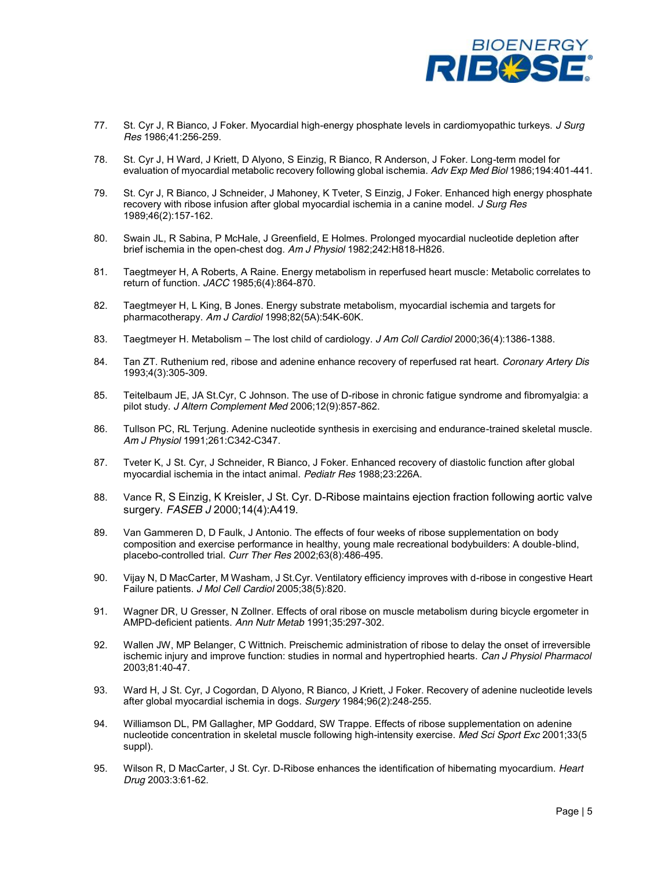

- 77. St. Cyr J, R Bianco, J Foker. Myocardial high-energy phosphate levels in cardiomyopathic turkeys. *J Surg Res* 1986;41:256-259.
- 78. St. Cyr J, H Ward, J Kriett, D Alyono, S Einzig, R Bianco, R Anderson, J Foker. Long-term model for evaluation of myocardial metabolic recovery following global ischemia. *Adv Exp Med Biol* 1986;194:401-441.
- 79. St. Cyr J, R Bianco, J Schneider, J Mahoney, K Tveter, S Einzig, J Foker. Enhanced high energy phosphate recovery with ribose infusion after global myocardial ischemia in a canine model. *J Surg Res*  1989;46(2):157-162.
- 80. Swain JL, R Sabina, P McHale, J Greenfield, E Holmes. Prolonged myocardial nucleotide depletion after brief ischemia in the open-chest dog. *Am J Physiol* 1982;242:H818-H826.
- 81. Taegtmeyer H, A Roberts, A Raine. Energy metabolism in reperfused heart muscle: Metabolic correlates to return of function. *JACC* 1985;6(4):864-870.
- 82. Taegtmeyer H, L King, B Jones. Energy substrate metabolism, myocardial ischemia and targets for pharmacotherapy. *Am J Cardiol* 1998;82(5A):54K-60K.
- 83. Taegtmeyer H. Metabolism The lost child of cardiology. *J Am Coll Cardiol* 2000;36(4):1386-1388.
- 84. Tan ZT. Ruthenium red, ribose and adenine enhance recovery of reperfused rat heart. *Coronary Artery Dis* 1993;4(3):305-309.
- 85. Teitelbaum JE, JA St.Cyr, C Johnson. The use of D-ribose in chronic fatigue syndrome and fibromyalgia: a pilot study. *J Altern Complement Med* 2006;12(9):857-862.
- 86. Tullson PC, RL Terjung. Adenine nucleotide synthesis in exercising and endurance-trained skeletal muscle. *Am J Physiol* 1991;261:C342-C347.
- 87. Tveter K, J St. Cyr, J Schneider, R Bianco, J Foker. Enhanced recovery of diastolic function after global myocardial ischemia in the intact animal. *Pediatr Res* 1988;23:226A.
- 88. Vance R, S Einzig, K Kreisler, J St. Cyr. D-Ribose maintains ejection fraction following aortic valve surgery. *FASEB J* 2000;14(4):A419.
- 89. Van Gammeren D, D Faulk, J Antonio. The effects of four weeks of ribose supplementation on body composition and exercise performance in healthy, young male recreational bodybuilders: A double-blind, placebo-controlled trial. *Curr Ther Res* 2002;63(8):486-495.
- 90. Vijay N, D MacCarter, M Washam, J St.Cyr. Ventilatory efficiency improves with d-ribose in congestive Heart Failure patients. *J Mol Cell Cardiol* 2005;38(5):820.
- 91. Wagner DR, U Gresser, N Zollner. Effects of oral ribose on muscle metabolism during bicycle ergometer in AMPD-deficient patients. *Ann Nutr Metab* 1991;35:297-302.
- 92. Wallen JW, MP Belanger, C Wittnich. Preischemic administration of ribose to delay the onset of irreversible ischemic injury and improve function: studies in normal and hypertrophied hearts. *Can J Physiol Pharmacol*  2003;81:40-47.
- 93. Ward H, J St. Cyr, J Cogordan, D Alyono, R Bianco, J Kriett, J Foker. Recovery of adenine nucleotide levels after global myocardial ischemia in dogs. *Surgery* 1984;96(2):248-255.
- 94. Williamson DL, PM Gallagher, MP Goddard, SW Trappe. Effects of ribose supplementation on adenine nucleotide concentration in skeletal muscle following high-intensity exercise. *Med Sci Sport Exc* 2001;33(5 suppl).
- 95. Wilson R, D MacCarter, J St. Cyr. D-Ribose enhances the identification of hibernating myocardium. *Heart Drug* 2003:3:61-62.